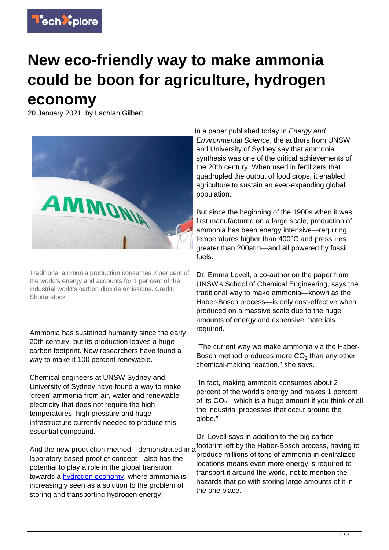

## **New eco-friendly way to make ammonia could be boon for agriculture, hydrogen economy**

20 January 2021, by Lachlan Gilbert



Traditional ammonia production consumes 2 per cent of the world's energy and accounts for 1 per cent of the industrial world's carbon dioxide emissions. Credit: **Shutterstock** 

Ammonia has sustained humanity since the early 20th century, but its production leaves a huge carbon footprint. Now researchers have found a way to make it 100 percent renewable.

Chemical engineers at UNSW Sydney and University of Sydney have found a way to make 'green' ammonia from air, water and renewable electricity that does not require the high temperatures, high pressure and huge infrastructure currently needed to produce this essential compound.

laboratory-based proof of concept—also has the potential to play a role in the global transition towards a [hydrogen economy,](https://techxplore.com/tags/hydrogen+economy/) where ammonia is increasingly seen as a solution to the problem of storing and transporting hydrogen energy.

In a paper published today in Energy and Environmental Science, the authors from UNSW and University of Sydney say that ammonia synthesis was one of the critical achievements of the 20th century. When used in fertilizers that quadrupled the output of food crops, it enabled agriculture to sustain an ever-expanding global population.

But since the beginning of the 1900s when it was first manufactured on a large scale, production of ammonia has been energy intensive—requiring temperatures higher than 400°C and pressures greater than 200atm—and all powered by fossil fuels.

Dr. Emma Lovell, a co-author on the paper from UNSW's School of Chemical Engineering, says the traditional way to make ammonia—known as the Haber-Bosch process—is only cost-effective when produced on a massive scale due to the huge amounts of energy and expensive materials required.

"The current way we make ammonia via the Haber-Bosch method produces more  $CO<sub>2</sub>$  than any other chemical-making reaction," she says.

"In fact, making ammonia consumes about 2 percent of the world's energy and makes 1 percent of its  $CO<sub>2</sub>$ —which is a huge amount if you think of all the industrial processes that occur around the globe."

And the new production method—demonstrated in a footprint left by the Haber-Bosch process, having to Dr. Lovell says in addition to the big carbon produce millions of tons of ammonia in centralized locations means even more energy is required to transport it around the world, not to mention the hazards that go with storing large amounts of it in the one place.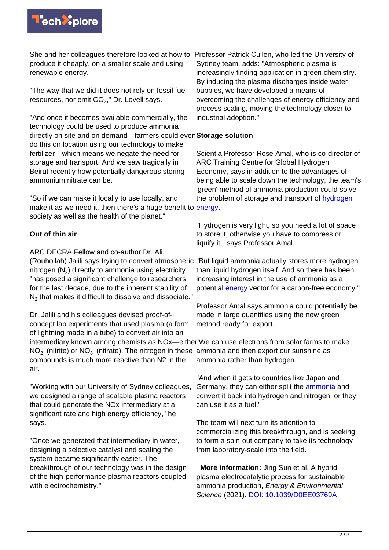

She and her colleagues therefore looked at how to Professor Patrick Cullen, who led the University of produce it cheaply, on a smaller scale and using renewable energy.

"The way that we did it does not rely on fossil fuel resources, nor emit  $CO<sub>2</sub>$ ," Dr. Lovell says.

"And once it becomes available commercially, the technology could be used to produce ammonia directly on site and on demand—farmers could even **Storage solution** do this on location using our technology to make fertilizer—which means we negate the need for storage and transport. And we saw tragically in Beirut recently how potentially dangerous storing ammonium nitrate can be.

"So if we can make it locally to use locally, and make it as we need it, then there's a huge benefit to **[energy](https://techxplore.com/tags/hydrogen+energy/)**. society as well as the health of the planet."

## **Out of thin air**

ARC DECRA Fellow and co-author Dr. Ali (Rouhollah) Jalili says trying to convert atmospheric "But liquid ammonia actually stores more hydrogen nitrogen ( $N_2$ ) directly to ammonia using electricity "has posed a significant challenge to researchers for the last decade, due to the inherent stability of  $\mathsf{N}_2$  that makes it difficult to dissolve and dissociate."

Dr. Jalili and his colleagues devised proof-ofconcept lab experiments that used plasma (a form of lightning made in a tube) to convert air into an intermediary known among chemists as NOx—either "We can use electrons from solar farms to make  $NO<sub>2</sub>$  (nitrite) or  $NO<sub>3</sub>$  (nitrate). The nitrogen in these ammonia and then export our sunshine as compounds is much more reactive than N2 in the air.

"Working with our University of Sydney colleagues, we designed a range of scalable plasma reactors that could generate the NOx intermediary at a significant rate and high energy efficiency," he says.

"Once we generated that intermediary in water, designing a selective catalyst and scaling the system became significantly easier. The breakthrough of our technology was in the design of the high-performance plasma reactors coupled with electrochemistry."

Sydney team, adds: "Atmospheric plasma is increasingly finding application in green chemistry. By inducing the plasma discharges inside water bubbles, we have developed a means of overcoming the challenges of energy efficiency and process scaling, moving the technology closer to industrial adoption."

Scientia Professor Rose Amal, who is co-director of ARC Training Centre for Global Hydrogen Economy, says in addition to the advantages of being able to scale down the technology, the team's 'green' method of ammonia production could solve the problem of storage and transport of [hydrogen](https://techxplore.com/tags/hydrogen+energy/)

"Hydrogen is very light, so you need a lot of space to store it, otherwise you have to compress or liquify it," says Professor Amal.

than liquid hydrogen itself. And so there has been increasing interest in the use of ammonia as a potential **energy** vector for a carbon-free economy."

Professor Amal says ammonia could potentially be made in large quantities using the new green method ready for export.

ammonia rather than hydrogen.

"And when it gets to countries like Japan and Germany, they can either split the [ammonia](https://techxplore.com/tags/ammonia/) and convert it back into hydrogen and nitrogen, or they can use it as a fuel."

The team will next turn its attention to commercializing this breakthrough, and is seeking to form a spin-out company to take its technology from laboratory-scale into the field.

 **More information:** Jing Sun et al. A hybrid plasma electrocatalytic process for sustainable ammonia production, Energy & Environmental Science (2021). [DOI: 10.1039/D0EE03769A](http://dx.doi.org/10.1039/D0EE03769A)